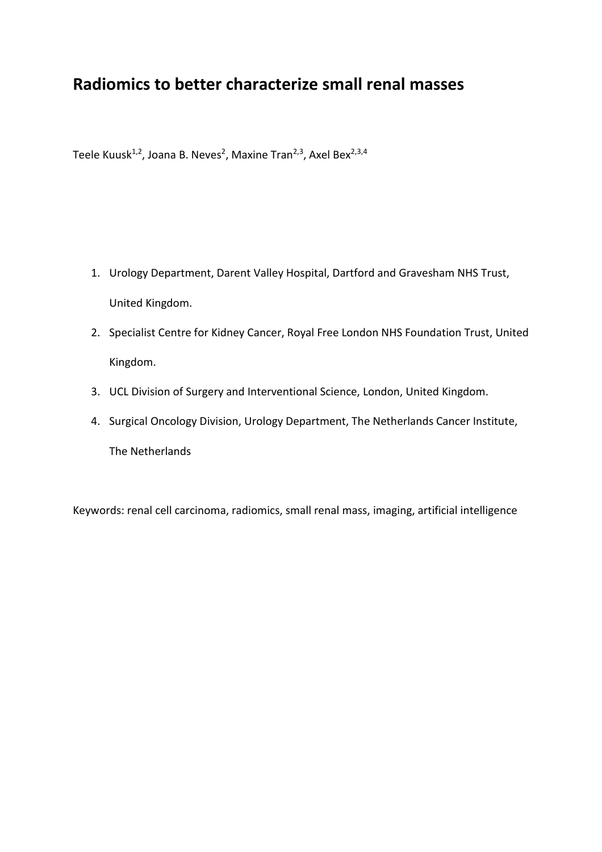# **Radiomics to better characterize small renal masses**

Teele Kuusk<sup>1,2</sup>, Joana B. Neves<sup>2</sup>, Maxine Tran<sup>2,3</sup>, Axel Bex<sup>2,3,4</sup>

- 1. Urology Department, Darent Valley Hospital, Dartford and Gravesham NHS Trust, United Kingdom.
- 2. Specialist Centre for Kidney Cancer, Royal Free London NHS Foundation Trust, United Kingdom.
- 3. UCL Division of Surgery and Interventional Science, London, United Kingdom.
- 4. Surgical Oncology Division, Urology Department, The Netherlands Cancer Institute, The Netherlands

Keywords: renal cell carcinoma, radiomics, small renal mass, imaging, artificial intelligence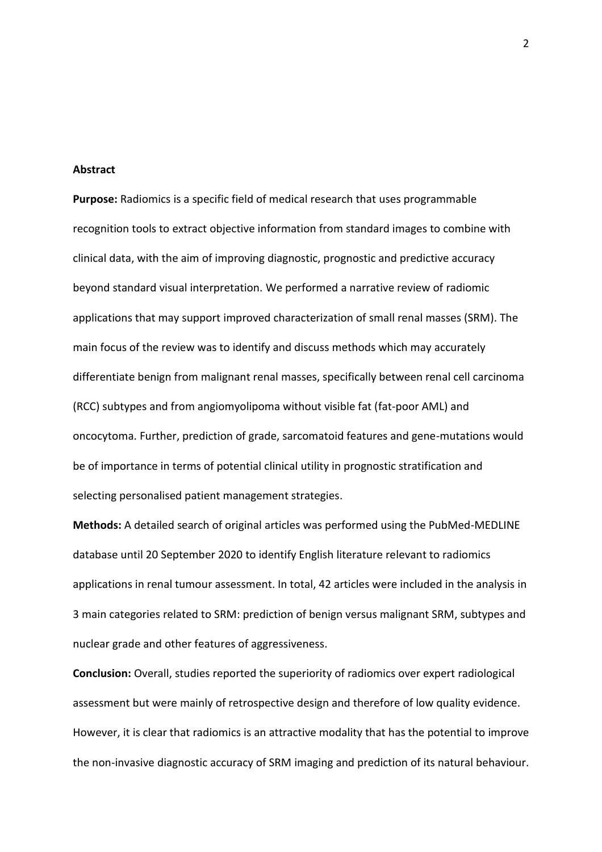## **Abstract**

**Purpose:** Radiomics is a specific field of medical research that uses programmable recognition tools to extract objective information from standard images to combine with clinical data, with the aim of improving diagnostic, prognostic and predictive accuracy beyond standard visual interpretation. We performed a narrative review of radiomic applications that may support improved characterization of small renal masses (SRM). The main focus of the review was to identify and discuss methods which may accurately differentiate benign from malignant renal masses, specifically between renal cell carcinoma (RCC) subtypes and from angiomyolipoma without visible fat (fat-poor AML) and oncocytoma. Further, prediction of grade, sarcomatoid features and gene-mutations would be of importance in terms of potential clinical utility in prognostic stratification and selecting personalised patient management strategies.

**Methods:** A detailed search of original articles was performed using the PubMed-MEDLINE database until 20 September 2020 to identify English literature relevant to radiomics applications in renal tumour assessment. In total, 42 articles were included in the analysis in 3 main categories related to SRM: prediction of benign versus malignant SRM, subtypes and nuclear grade and other features of aggressiveness.

**Conclusion:** Overall, studies reported the superiority of radiomics over expert radiological assessment but were mainly of retrospective design and therefore of low quality evidence. However, it is clear that radiomics is an attractive modality that has the potential to improve the non-invasive diagnostic accuracy of SRM imaging and prediction of its natural behaviour.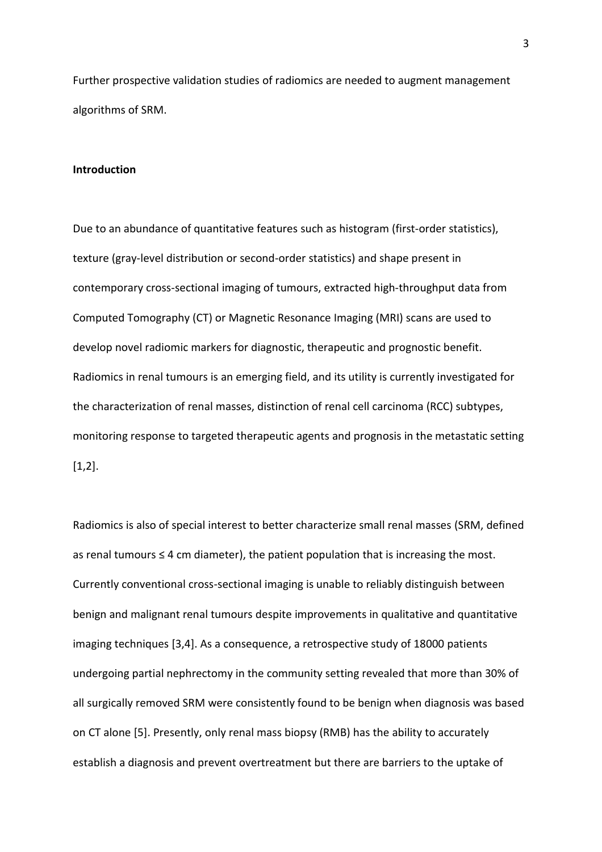Further prospective validation studies of radiomics are needed to augment management algorithms of SRM.

## **Introduction**

Due to an abundance of quantitative features such as histogram (first-order statistics), texture (gray-level distribution or second-order statistics) and shape present in contemporary cross-sectional imaging of tumours, extracted high-throughput data from Computed Tomography (CT) or Magnetic Resonance Imaging (MRI) scans are used to develop novel radiomic markers for diagnostic, therapeutic and prognostic benefit. Radiomics in renal tumours is an emerging field, and its utility is currently investigated for the characterization of renal masses, distinction of renal cell carcinoma (RCC) subtypes, monitoring response to targeted therapeutic agents and prognosis in the metastatic setting [1,2].

Radiomics is also of special interest to better characterize small renal masses (SRM, defined as renal tumours  $\leq 4$  cm diameter), the patient population that is increasing the most. Currently conventional cross-sectional imaging is unable to reliably distinguish between benign and malignant renal tumours despite improvements in qualitative and quantitative imaging techniques [3,4]. As a consequence, a retrospective study of 18000 patients undergoing partial nephrectomy in the community setting revealed that more than 30% of all surgically removed SRM were consistently found to be benign when diagnosis was based on CT alone [5]. Presently, only renal mass biopsy (RMB) has the ability to accurately establish a diagnosis and prevent overtreatment but there are barriers to the uptake of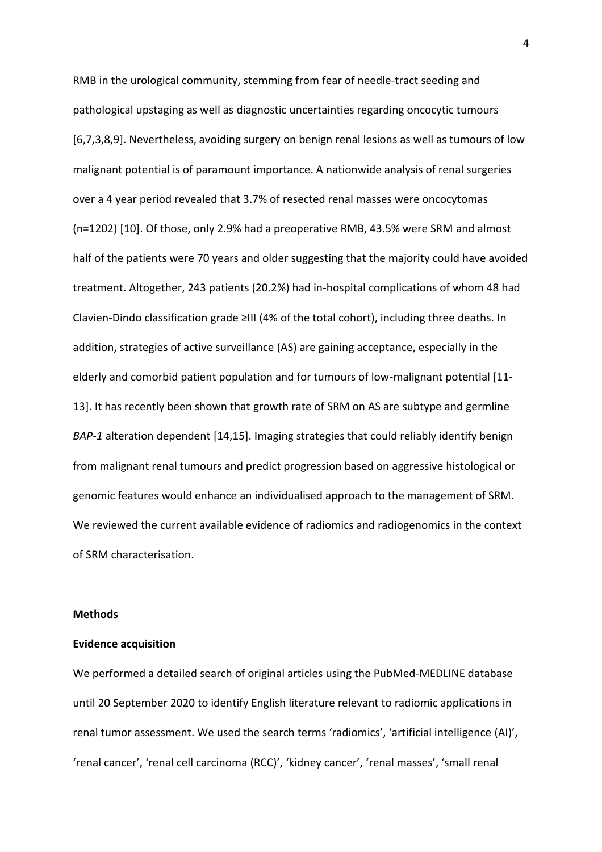RMB in the urological community, stemming from fear of needle-tract seeding and pathological upstaging as well as diagnostic uncertainties regarding oncocytic tumours [6,7,3,8,9]. Nevertheless, avoiding surgery on benign renal lesions as well as tumours of low malignant potential is of paramount importance. A nationwide analysis of renal surgeries over a 4 year period revealed that 3.7% of resected renal masses were oncocytomas (n=1202) [10]. Of those, only 2.9% had a preoperative RMB, 43.5% were SRM and almost half of the patients were 70 years and older suggesting that the majority could have avoided treatment. Altogether, 243 patients (20.2%) had in-hospital complications of whom 48 had Clavien-Dindo classification grade ≥III (4% of the total cohort), including three deaths. In addition, strategies of active surveillance (AS) are gaining acceptance, especially in the elderly and comorbid patient population and for tumours of low-malignant potential [11- 13]. It has recently been shown that growth rate of SRM on AS are subtype and germline *BAP-1* alteration dependent [14,15]. Imaging strategies that could reliably identify benign from malignant renal tumours and predict progression based on aggressive histological or genomic features would enhance an individualised approach to the management of SRM. We reviewed the current available evidence of radiomics and radiogenomics in the context of SRM characterisation.

# **Methods**

#### **Evidence acquisition**

We performed a detailed search of original articles using the PubMed-MEDLINE database until 20 September 2020 to identify English literature relevant to radiomic applications in renal tumor assessment. We used the search terms 'radiomics', 'artificial intelligence (AI)', 'renal cancer', 'renal cell carcinoma (RCC)', 'kidney cancer', 'renal masses', 'small renal

4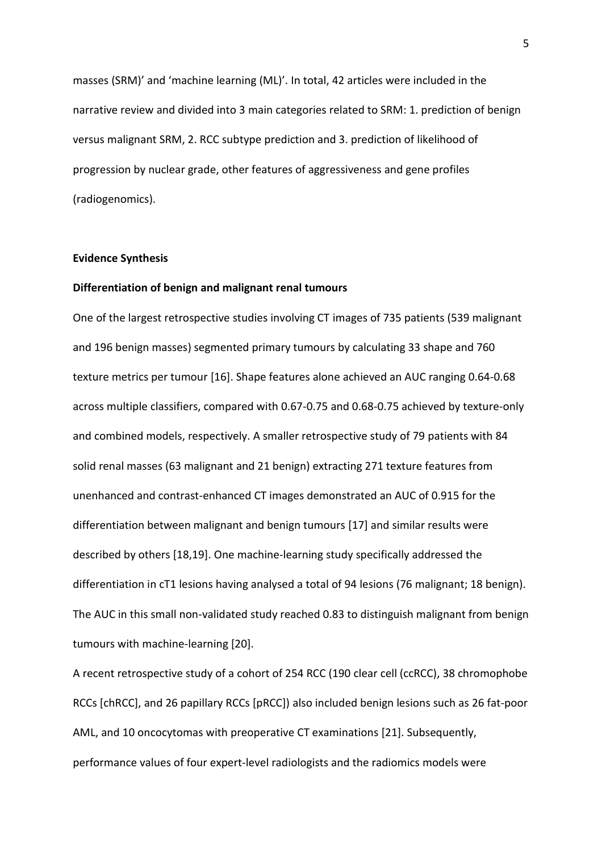masses (SRM)' and 'machine learning (ML)'. In total, 42 articles were included in the narrative review and divided into 3 main categories related to SRM: 1. prediction of benign versus malignant SRM, 2. RCC subtype prediction and 3. prediction of likelihood of progression by nuclear grade, other features of aggressiveness and gene profiles (radiogenomics).

#### **Evidence Synthesis**

#### **Differentiation of benign and malignant renal tumours**

One of the largest retrospective studies involving CT images of 735 patients (539 malignant and 196 benign masses) segmented primary tumours by calculating 33 shape and 760 texture metrics per tumour [16]. Shape features alone achieved an AUC ranging 0.64-0.68 across multiple classifiers, compared with 0.67-0.75 and 0.68-0.75 achieved by texture-only and combined models, respectively. A smaller retrospective study of 79 patients with 84 solid renal masses (63 malignant and 21 benign) extracting 271 texture features from unenhanced and contrast-enhanced CT images demonstrated an AUC of 0.915 for the differentiation between malignant and benign tumours [17] and similar results were described by others [18,19]. One machine-learning study specifically addressed the differentiation in cT1 lesions having analysed a total of 94 lesions (76 malignant; 18 benign). The AUC in this small non-validated study reached 0.83 to distinguish malignant from benign tumours with machine-learning [20].

A recent retrospective study of a cohort of 254 RCC (190 clear cell (ccRCC), 38 chromophobe RCCs [chRCC], and 26 papillary RCCs [pRCC]) also included benign lesions such as 26 fat-poor AML, and 10 oncocytomas with preoperative CT examinations [21]. Subsequently, performance values of four expert-level radiologists and the radiomics models were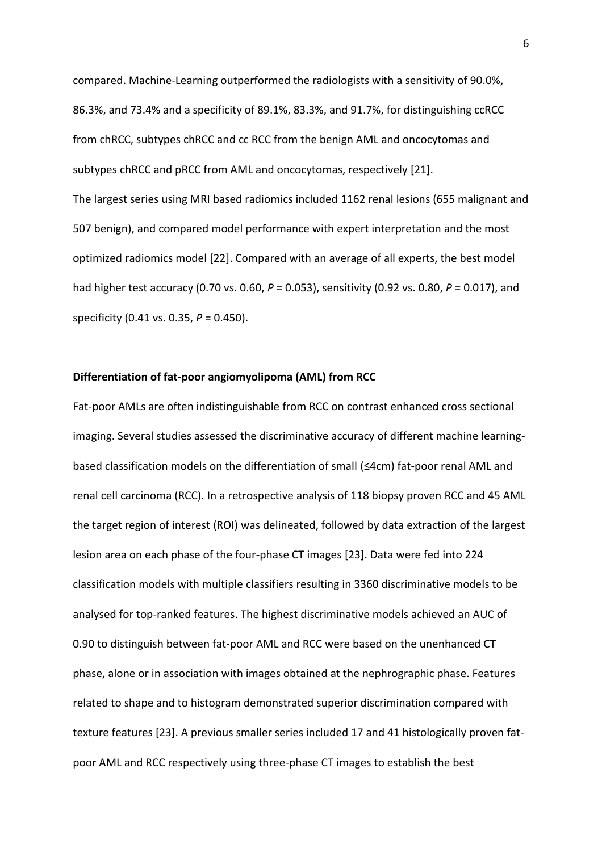compared. Machine-Learning outperformed the radiologists with a sensitivity of 90.0%, 86.3%, and 73.4% and a specificity of 89.1%, 83.3%, and 91.7%, for distinguishing ccRCC from chRCC, subtypes chRCC and cc RCC from the benign AML and oncocytomas and subtypes chRCC and pRCC from AML and oncocytomas, respectively [21].

The largest series using MRI based radiomics included 1162 renal lesions (655 malignant and 507 benign), and compared model performance with expert interpretation and the most optimized radiomics model [22]. Compared with an average of all experts, the best model had higher test accuracy (0.70 vs. 0.60, *P* = 0.053), sensitivity (0.92 vs. 0.80, *P* = 0.017), and specificity (0.41 vs. 0.35, *P* = 0.450).

## **Differentiation of fat-poor angiomyolipoma (AML) from RCC**

Fat-poor AMLs are often indistinguishable from RCC on contrast enhanced cross sectional imaging. Several studies assessed the discriminative accuracy of different machine learningbased classification models on the differentiation of small (≤4cm) fat-poor renal AML and renal cell carcinoma (RCC). In a retrospective analysis of 118 biopsy proven RCC and 45 AML the target region of interest (ROI) was delineated, followed by data extraction of the largest lesion area on each phase of the four-phase CT images [23]. Data were fed into 224 classification models with multiple classifiers resulting in 3360 discriminative models to be analysed for top-ranked features. The highest discriminative models achieved an AUC of 0.90 to distinguish between fat-poor AML and RCC were based on the unenhanced CT phase, alone or in association with images obtained at the nephrographic phase. Features related to shape and to histogram demonstrated superior discrimination compared with texture features [23]. A previous smaller series included 17 and 41 histologically proven fatpoor AML and RCC respectively using three-phase CT images to establish the best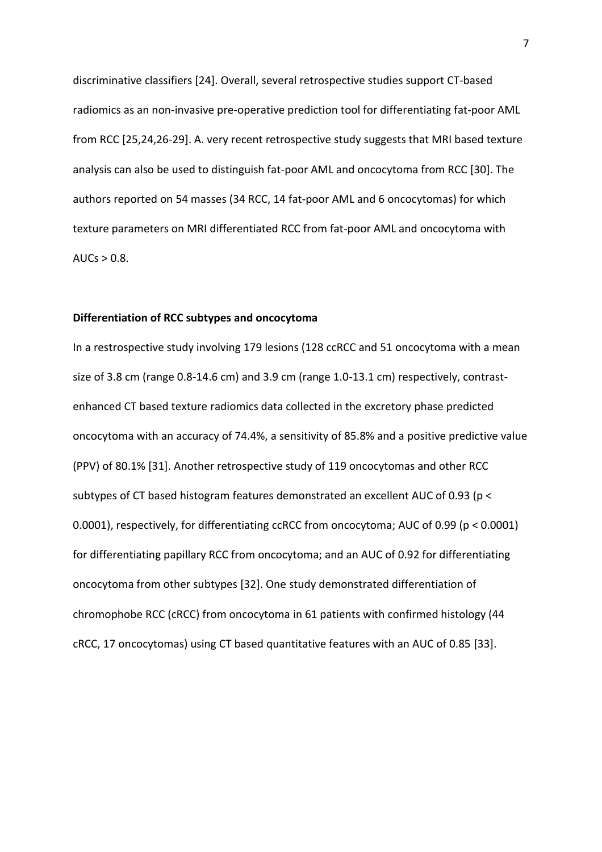discriminative classifiers [24]. Overall, several retrospective studies support CT-based radiomics as an non-invasive pre-operative prediction tool for differentiating fat-poor AML from RCC [25,24,26-29]. A. very recent retrospective study suggests that MRI based texture analysis can also be used to distinguish fat-poor AML and oncocytoma from RCC [30]. The authors reported on 54 masses (34 RCC, 14 fat-poor AML and 6 oncocytomas) for which texture parameters on MRI differentiated RCC from fat-poor AML and oncocytoma with AUCs  $> 0.8$ .

# **Differentiation of RCC subtypes and oncocytoma**

In a restrospective study involving 179 lesions (128 ccRCC and 51 oncocytoma with a mean size of 3.8 cm (range 0.8-14.6 cm) and 3.9 cm (range 1.0-13.1 cm) respectively, contrastenhanced CT based texture radiomics data collected in the excretory phase predicted oncocytoma with an accuracy of 74.4%, a sensitivity of 85.8% and a positive predictive value (PPV) of 80.1% [31]. Another retrospective study of 119 oncocytomas and other RCC subtypes of CT based histogram features demonstrated an excellent AUC of 0.93 (p < 0.0001), respectively, for differentiating ccRCC from oncocytoma; AUC of 0.99 (p < 0.0001) for differentiating papillary RCC from oncocytoma; and an AUC of 0.92 for differentiating oncocytoma from other subtypes [32]. One study demonstrated differentiation of chromophobe RCC (cRCC) from oncocytoma in 61 patients with confirmed histology (44 cRCC, 17 oncocytomas) using CT based quantitative features with an AUC of 0.85 [33].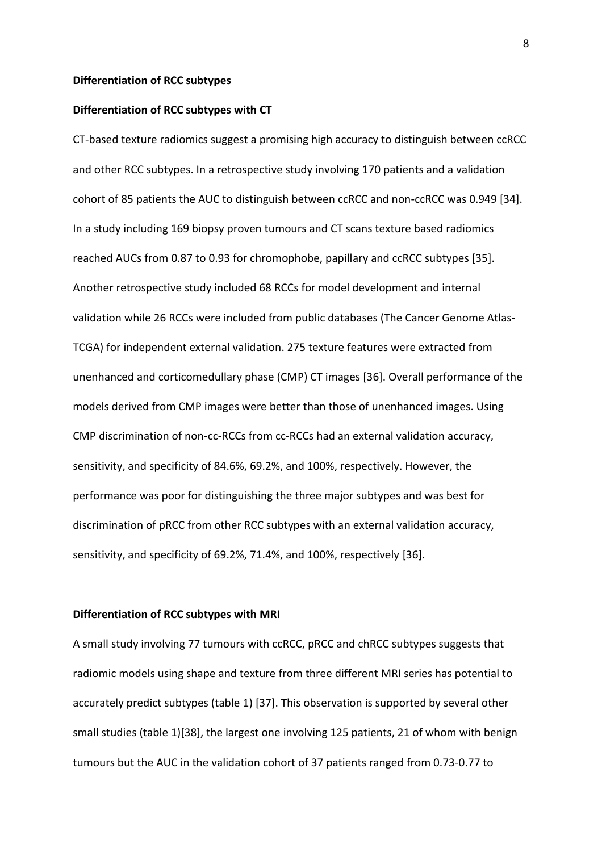## **Differentiation of RCC subtypes**

## **Differentiation of RCC subtypes with CT**

CT-based texture radiomics suggest a promising high accuracy to distinguish between ccRCC and other RCC subtypes. In a retrospective study involving 170 patients and a validation cohort of 85 patients the AUC to distinguish between ccRCC and non-ccRCC was 0.949 [34]. In a study including 169 biopsy proven tumours and CT scans texture based radiomics reached AUCs from 0.87 to 0.93 for chromophobe, papillary and ccRCC subtypes [35]. Another retrospective study included 68 RCCs for model development and internal validation while 26 RCCs were included from public databases (The Cancer Genome Atlas-TCGA) for independent external validation. 275 texture features were extracted from unenhanced and corticomedullary phase (CMP) CT images [36]. Overall performance of the models derived from CMP images were better than those of unenhanced images. Using CMP discrimination of non-cc-RCCs from cc-RCCs had an external validation accuracy, sensitivity, and specificity of 84.6%, 69.2%, and 100%, respectively. However, the performance was poor for distinguishing the three major subtypes and was best for discrimination of pRCC from other RCC subtypes with an external validation accuracy, sensitivity, and specificity of 69.2%, 71.4%, and 100%, respectively [36].

# **Differentiation of RCC subtypes with MRI**

A small study involving 77 tumours with ccRCC, pRCC and chRCC subtypes suggests that radiomic models using shape and texture from three different MRI series has potential to accurately predict subtypes (table 1) [37]. This observation is supported by several other small studies (table 1)[38], the largest one involving 125 patients, 21 of whom with benign tumours but the AUC in the validation cohort of 37 patients ranged from 0.73-0.77 to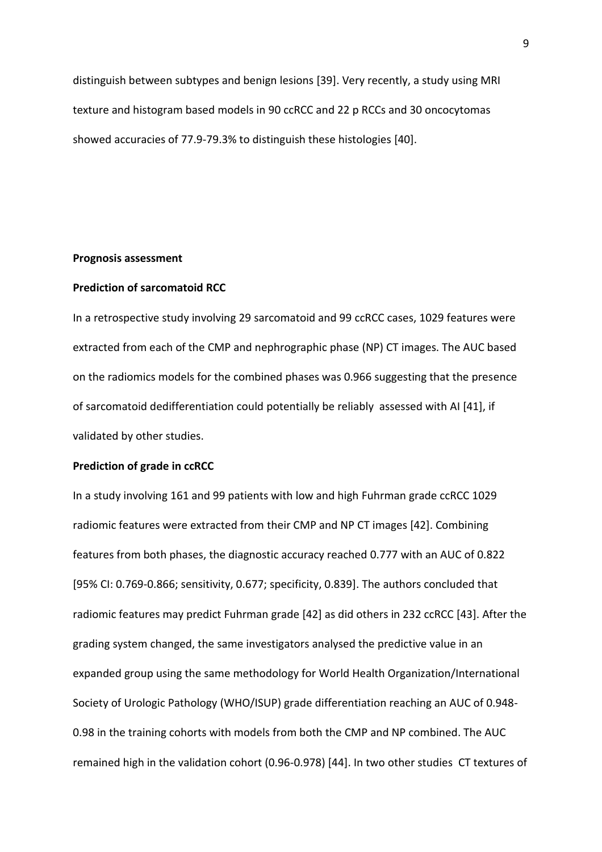distinguish between subtypes and benign lesions [39]. Very recently, a study using MRI texture and histogram based models in 90 ccRCC and 22 p RCCs and 30 oncocytomas showed accuracies of 77.9-79.3% to distinguish these histologies [40].

## **Prognosis assessment**

# **Prediction of sarcomatoid RCC**

In a retrospective study involving 29 sarcomatoid and 99 ccRCC cases, 1029 features were extracted from each of the CMP and nephrographic phase (NP) CT images. The AUC based on the radiomics models for the combined phases was 0.966 suggesting that the presence of sarcomatoid dedifferentiation could potentially be reliably assessed with AI [41], if validated by other studies.

#### **Prediction of grade in ccRCC**

In a study involving 161 and 99 patients with low and high Fuhrman grade ccRCC 1029 radiomic features were extracted from their CMP and NP CT images [42]. Combining features from both phases, the diagnostic accuracy reached 0.777 with an AUC of 0.822 [95% CI: 0.769-0.866; sensitivity, 0.677; specificity, 0.839]. The authors concluded that radiomic features may predict Fuhrman grade [42] as did others in 232 ccRCC [43]. After the grading system changed, the same investigators analysed the predictive value in an expanded group using the same methodology for World Health Organization/International Society of Urologic Pathology (WHO/ISUP) grade differentiation reaching an AUC of 0.948- 0.98 in the training cohorts with models from both the CMP and NP combined. The AUC remained high in the validation cohort (0.96-0.978) [44]. In two other studies CT textures of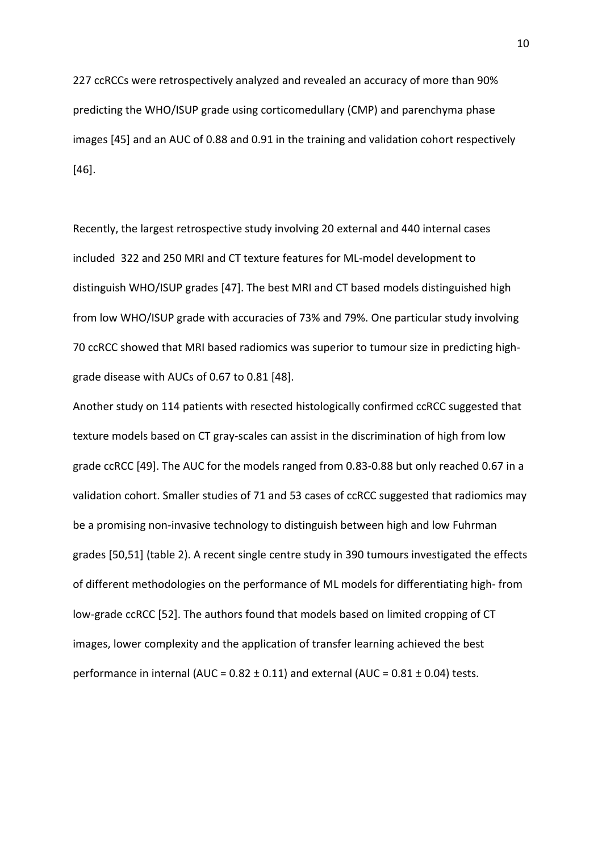227 ccRCCs were retrospectively analyzed and revealed an accuracy of more than 90% predicting the WHO/ISUP grade using corticomedullary (CMP) and parenchyma phase images [45] and an AUC of 0.88 and 0.91 in the training and validation cohort respectively [46].

Recently, the largest retrospective study involving 20 external and 440 internal cases included 322 and 250 MRI and CT texture features for ML-model development to distinguish WHO/ISUP grades [47]. The best MRI and CT based models distinguished high from low WHO/ISUP grade with accuracies of 73% and 79%. One particular study involving 70 ccRCC showed that MRI based radiomics was superior to tumour size in predicting highgrade disease with AUCs of 0.67 to 0.81 [48].

Another study on 114 patients with resected histologically confirmed ccRCC suggested that texture models based on CT gray-scales can assist in the discrimination of high from low grade ccRCC [49]. The AUC for the models ranged from 0.83-0.88 but only reached 0.67 in a validation cohort. Smaller studies of 71 and 53 cases of ccRCC suggested that radiomics may be a promising non-invasive technology to distinguish between high and low Fuhrman grades [50,51] (table 2). A recent single centre study in 390 tumours investigated the effects of different methodologies on the performance of ML models for differentiating high- from low-grade ccRCC [52]. The authors found that models based on limited cropping of CT images, lower complexity and the application of transfer learning achieved the best performance in internal (AUC =  $0.82 \pm 0.11$ ) and external (AUC =  $0.81 \pm 0.04$ ) tests.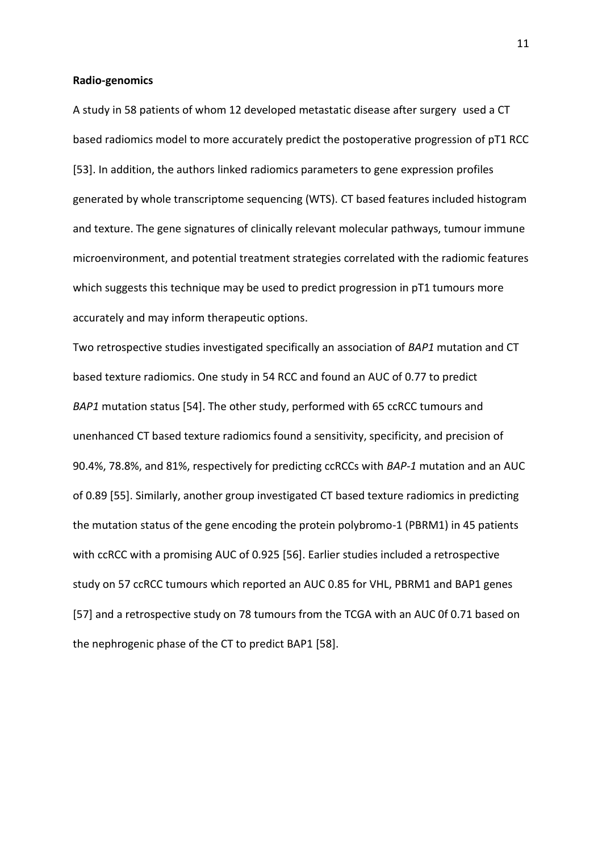#### **Radio-genomics**

A study in 58 patients of whom 12 developed metastatic disease after surgery used a CT based radiomics model to more accurately predict the postoperative progression of pT1 RCC [53]. In addition, the authors linked radiomics parameters to gene expression profiles generated by whole transcriptome sequencing (WTS). CT based features included histogram and texture. The gene signatures of clinically relevant molecular pathways, tumour immune microenvironment, and potential treatment strategies correlated with the radiomic features which suggests this technique may be used to predict progression in pT1 tumours more accurately and may inform therapeutic options.

Two retrospective studies investigated specifically an association of *BAP1* mutation and CT based texture radiomics. One study in 54 RCC and found an AUC of 0.77 to predict *BAP1* mutation status [54]. The other study, performed with 65 ccRCC tumours and unenhanced CT based texture radiomics found a sensitivity, specificity, and precision of 90.4%, 78.8%, and 81%, respectively for predicting ccRCCs with *BAP-1* mutation and an AUC of 0.89 [55]. Similarly, another group investigated CT based texture radiomics in predicting the mutation status of the gene encoding the protein polybromo-1 (PBRM1) in 45 patients with ccRCC with a promising AUC of 0.925 [56]. Earlier studies included a retrospective study on 57 ccRCC tumours which reported an AUC 0.85 for VHL, PBRM1 and BAP1 genes [57] and a retrospective study on 78 tumours from the TCGA with an AUC 0f 0.71 based on the nephrogenic phase of the CT to predict BAP1 [58].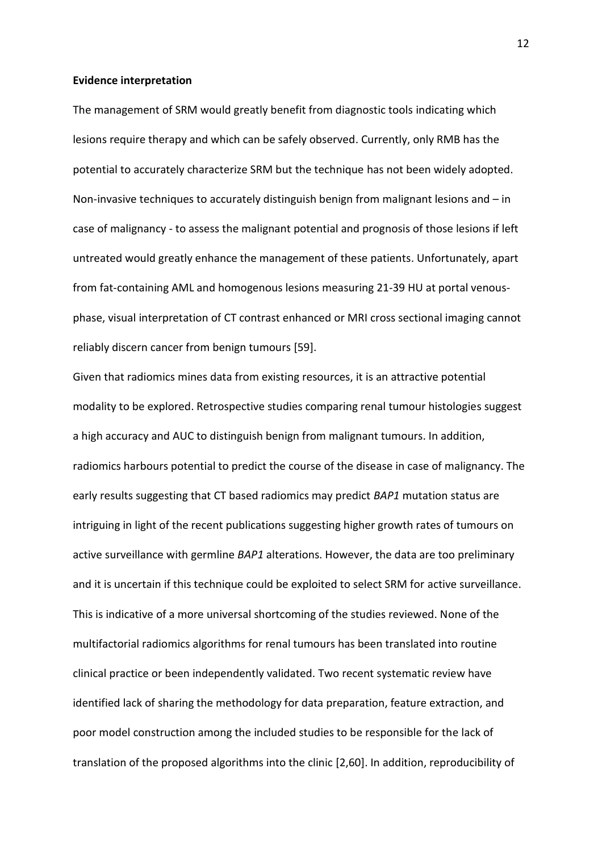#### **Evidence interpretation**

The management of SRM would greatly benefit from diagnostic tools indicating which lesions require therapy and which can be safely observed. Currently, only RMB has the potential to accurately characterize SRM but the technique has not been widely adopted. Non-invasive techniques to accurately distinguish benign from malignant lesions and – in case of malignancy - to assess the malignant potential and prognosis of those lesions if left untreated would greatly enhance the management of these patients. Unfortunately, apart from fat-containing AML and homogenous lesions measuring 21-39 HU at portal venousphase, visual interpretation of CT contrast enhanced or MRI cross sectional imaging cannot reliably discern cancer from benign tumours [59].

Given that radiomics mines data from existing resources, it is an attractive potential modality to be explored. Retrospective studies comparing renal tumour histologies suggest a high accuracy and AUC to distinguish benign from malignant tumours. In addition, radiomics harbours potential to predict the course of the disease in case of malignancy. The early results suggesting that CT based radiomics may predict *BAP1* mutation status are intriguing in light of the recent publications suggesting higher growth rates of tumours on active surveillance with germline *BAP1* alterations. However, the data are too preliminary and it is uncertain if this technique could be exploited to select SRM for active surveillance. This is indicative of a more universal shortcoming of the studies reviewed. None of the multifactorial radiomics algorithms for renal tumours has been translated into routine clinical practice or been independently validated. Two recent systematic review have identified lack of sharing the methodology for data preparation, feature extraction, and poor model construction among the included studies to be responsible for the lack of translation of the proposed algorithms into the clinic [2,60]. In addition, reproducibility of

12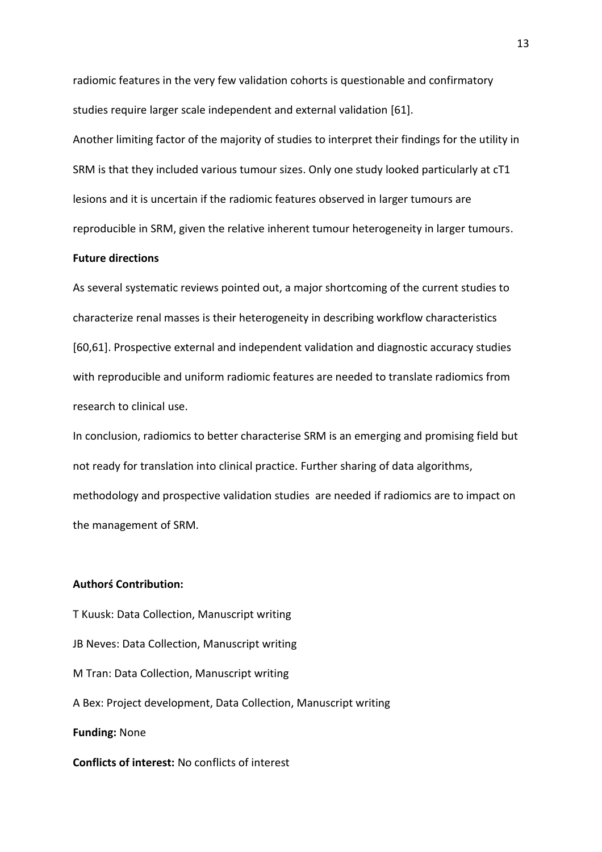radiomic features in the very few validation cohorts is questionable and confirmatory studies require larger scale independent and external validation [61].

Another limiting factor of the majority of studies to interpret their findings for the utility in SRM is that they included various tumour sizes. Only one study looked particularly at cT1 lesions and it is uncertain if the radiomic features observed in larger tumours are reproducible in SRM, given the relative inherent tumour heterogeneity in larger tumours.

#### **Future directions**

As several systematic reviews pointed out, a major shortcoming of the current studies to characterize renal masses is their heterogeneity in describing workflow characteristics [60,61]. Prospective external and independent validation and diagnostic accuracy studies with reproducible and uniform radiomic features are needed to translate radiomics from research to clinical use.

In conclusion, radiomics to better characterise SRM is an emerging and promising field but not ready for translation into clinical practice. Further sharing of data algorithms, methodology and prospective validation studies are needed if radiomics are to impact on the management of SRM.

# **Authorś Contribution:**

T Kuusk: Data Collection, Manuscript writing JB Neves: Data Collection, Manuscript writing M Tran: Data Collection, Manuscript writing A Bex: Project development, Data Collection, Manuscript writing **Funding:** None **Conflicts of interest:** No conflicts of interest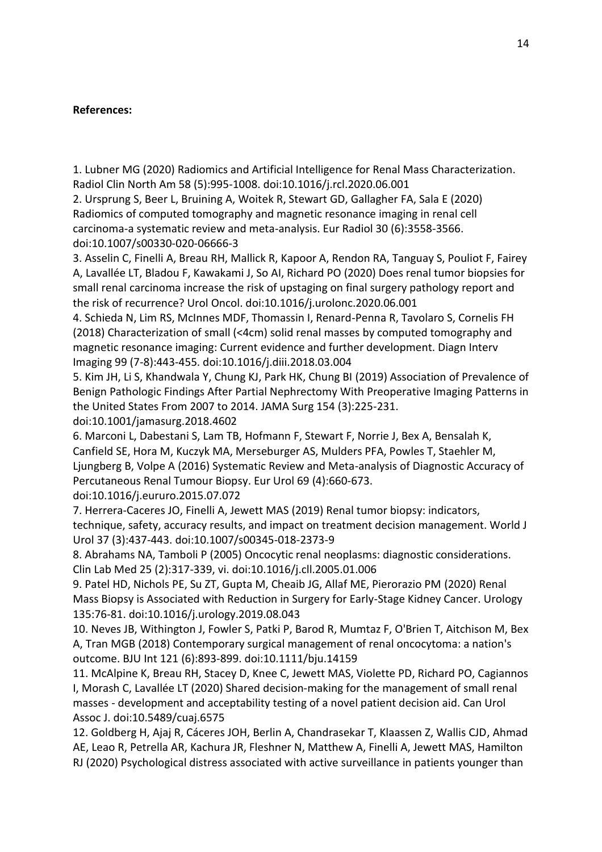# **References:**

1. Lubner MG (2020) Radiomics and Artificial Intelligence for Renal Mass Characterization. Radiol Clin North Am 58 (5):995-1008. doi:10.1016/j.rcl.2020.06.001

2. Ursprung S, Beer L, Bruining A, Woitek R, Stewart GD, Gallagher FA, Sala E (2020) Radiomics of computed tomography and magnetic resonance imaging in renal cell carcinoma-a systematic review and meta-analysis. Eur Radiol 30 (6):3558-3566. doi:10.1007/s00330-020-06666-3

3. Asselin C, Finelli A, Breau RH, Mallick R, Kapoor A, Rendon RA, Tanguay S, Pouliot F, Fairey A, Lavallée LT, Bladou F, Kawakami J, So AI, Richard PO (2020) Does renal tumor biopsies for small renal carcinoma increase the risk of upstaging on final surgery pathology report and the risk of recurrence? Urol Oncol. doi:10.1016/j.urolonc.2020.06.001

4. Schieda N, Lim RS, McInnes MDF, Thomassin I, Renard-Penna R, Tavolaro S, Cornelis FH (2018) Characterization of small (<4cm) solid renal masses by computed tomography and magnetic resonance imaging: Current evidence and further development. Diagn Interv Imaging 99 (7-8):443-455. doi:10.1016/j.diii.2018.03.004

5. Kim JH, Li S, Khandwala Y, Chung KJ, Park HK, Chung BI (2019) Association of Prevalence of Benign Pathologic Findings After Partial Nephrectomy With Preoperative Imaging Patterns in the United States From 2007 to 2014. JAMA Surg 154 (3):225-231.

doi:10.1001/jamasurg.2018.4602

6. Marconi L, Dabestani S, Lam TB, Hofmann F, Stewart F, Norrie J, Bex A, Bensalah K, Canfield SE, Hora M, Kuczyk MA, Merseburger AS, Mulders PFA, Powles T, Staehler M, Ljungberg B, Volpe A (2016) Systematic Review and Meta-analysis of Diagnostic Accuracy of Percutaneous Renal Tumour Biopsy. Eur Urol 69 (4):660-673. doi:10.1016/j.eururo.2015.07.072

7. Herrera-Caceres JO, Finelli A, Jewett MAS (2019) Renal tumor biopsy: indicators, technique, safety, accuracy results, and impact on treatment decision management. World J Urol 37 (3):437-443. doi:10.1007/s00345-018-2373-9

8. Abrahams NA, Tamboli P (2005) Oncocytic renal neoplasms: diagnostic considerations. Clin Lab Med 25 (2):317-339, vi. doi:10.1016/j.cll.2005.01.006

9. Patel HD, Nichols PE, Su ZT, Gupta M, Cheaib JG, Allaf ME, Pierorazio PM (2020) Renal Mass Biopsy is Associated with Reduction in Surgery for Early-Stage Kidney Cancer. Urology 135:76-81. doi:10.1016/j.urology.2019.08.043

10. Neves JB, Withington J, Fowler S, Patki P, Barod R, Mumtaz F, O'Brien T, Aitchison M, Bex A, Tran MGB (2018) Contemporary surgical management of renal oncocytoma: a nation's outcome. BJU Int 121 (6):893-899. doi:10.1111/bju.14159

11. McAlpine K, Breau RH, Stacey D, Knee C, Jewett MAS, Violette PD, Richard PO, Cagiannos I, Morash C, Lavallée LT (2020) Shared decision-making for the management of small renal masses - development and acceptability testing of a novel patient decision aid. Can Urol Assoc J. doi:10.5489/cuaj.6575

12. Goldberg H, Ajaj R, Cáceres JOH, Berlin A, Chandrasekar T, Klaassen Z, Wallis CJD, Ahmad AE, Leao R, Petrella AR, Kachura JR, Fleshner N, Matthew A, Finelli A, Jewett MAS, Hamilton RJ (2020) Psychological distress associated with active surveillance in patients younger than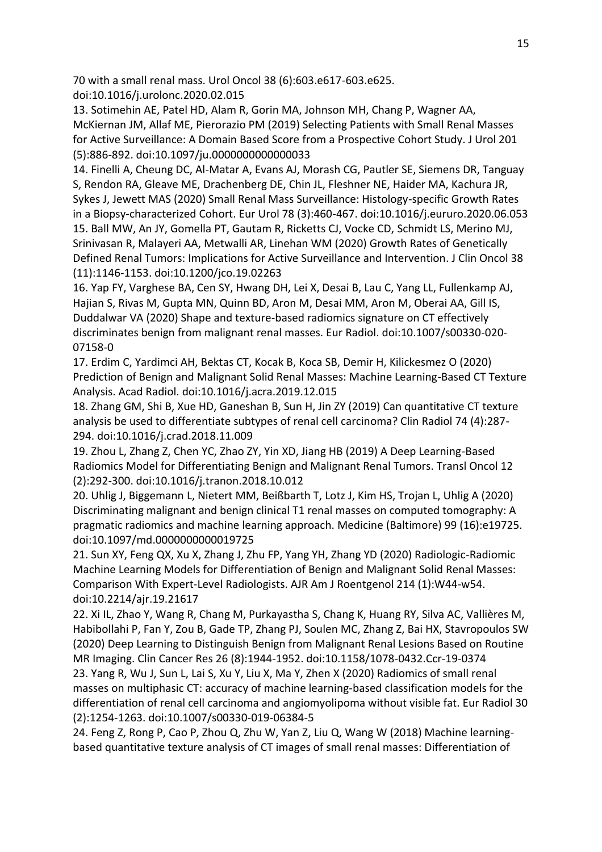70 with a small renal mass. Urol Oncol 38 (6):603.e617-603.e625.

doi:10.1016/j.urolonc.2020.02.015

13. Sotimehin AE, Patel HD, Alam R, Gorin MA, Johnson MH, Chang P, Wagner AA, McKiernan JM, Allaf ME, Pierorazio PM (2019) Selecting Patients with Small Renal Masses for Active Surveillance: A Domain Based Score from a Prospective Cohort Study. J Urol 201 (5):886-892. doi:10.1097/ju.0000000000000033

14. Finelli A, Cheung DC, Al-Matar A, Evans AJ, Morash CG, Pautler SE, Siemens DR, Tanguay S, Rendon RA, Gleave ME, Drachenberg DE, Chin JL, Fleshner NE, Haider MA, Kachura JR, Sykes J, Jewett MAS (2020) Small Renal Mass Surveillance: Histology-specific Growth Rates in a Biopsy-characterized Cohort. Eur Urol 78 (3):460-467. doi:10.1016/j.eururo.2020.06.053 15. Ball MW, An JY, Gomella PT, Gautam R, Ricketts CJ, Vocke CD, Schmidt LS, Merino MJ, Srinivasan R, Malayeri AA, Metwalli AR, Linehan WM (2020) Growth Rates of Genetically Defined Renal Tumors: Implications for Active Surveillance and Intervention. J Clin Oncol 38 (11):1146-1153. doi:10.1200/jco.19.02263

16. Yap FY, Varghese BA, Cen SY, Hwang DH, Lei X, Desai B, Lau C, Yang LL, Fullenkamp AJ, Hajian S, Rivas M, Gupta MN, Quinn BD, Aron M, Desai MM, Aron M, Oberai AA, Gill IS, Duddalwar VA (2020) Shape and texture-based radiomics signature on CT effectively discriminates benign from malignant renal masses. Eur Radiol. doi:10.1007/s00330-020- 07158-0

17. Erdim C, Yardimci AH, Bektas CT, Kocak B, Koca SB, Demir H, Kilickesmez O (2020) Prediction of Benign and Malignant Solid Renal Masses: Machine Learning-Based CT Texture Analysis. Acad Radiol. doi:10.1016/j.acra.2019.12.015

18. Zhang GM, Shi B, Xue HD, Ganeshan B, Sun H, Jin ZY (2019) Can quantitative CT texture analysis be used to differentiate subtypes of renal cell carcinoma? Clin Radiol 74 (4):287- 294. doi:10.1016/j.crad.2018.11.009

19. Zhou L, Zhang Z, Chen YC, Zhao ZY, Yin XD, Jiang HB (2019) A Deep Learning-Based Radiomics Model for Differentiating Benign and Malignant Renal Tumors. Transl Oncol 12 (2):292-300. doi:10.1016/j.tranon.2018.10.012

20. Uhlig J, Biggemann L, Nietert MM, Beißbarth T, Lotz J, Kim HS, Trojan L, Uhlig A (2020) Discriminating malignant and benign clinical T1 renal masses on computed tomography: A pragmatic radiomics and machine learning approach. Medicine (Baltimore) 99 (16):e19725. doi:10.1097/md.0000000000019725

21. Sun XY, Feng QX, Xu X, Zhang J, Zhu FP, Yang YH, Zhang YD (2020) Radiologic-Radiomic Machine Learning Models for Differentiation of Benign and Malignant Solid Renal Masses: Comparison With Expert-Level Radiologists. AJR Am J Roentgenol 214 (1):W44-w54. doi:10.2214/ajr.19.21617

22. Xi IL, Zhao Y, Wang R, Chang M, Purkayastha S, Chang K, Huang RY, Silva AC, Vallières M, Habibollahi P, Fan Y, Zou B, Gade TP, Zhang PJ, Soulen MC, Zhang Z, Bai HX, Stavropoulos SW (2020) Deep Learning to Distinguish Benign from Malignant Renal Lesions Based on Routine MR Imaging. Clin Cancer Res 26 (8):1944-1952. doi:10.1158/1078-0432.Ccr-19-0374

23. Yang R, Wu J, Sun L, Lai S, Xu Y, Liu X, Ma Y, Zhen X (2020) Radiomics of small renal masses on multiphasic CT: accuracy of machine learning-based classification models for the differentiation of renal cell carcinoma and angiomyolipoma without visible fat. Eur Radiol 30 (2):1254-1263. doi:10.1007/s00330-019-06384-5

24. Feng Z, Rong P, Cao P, Zhou Q, Zhu W, Yan Z, Liu Q, Wang W (2018) Machine learningbased quantitative texture analysis of CT images of small renal masses: Differentiation of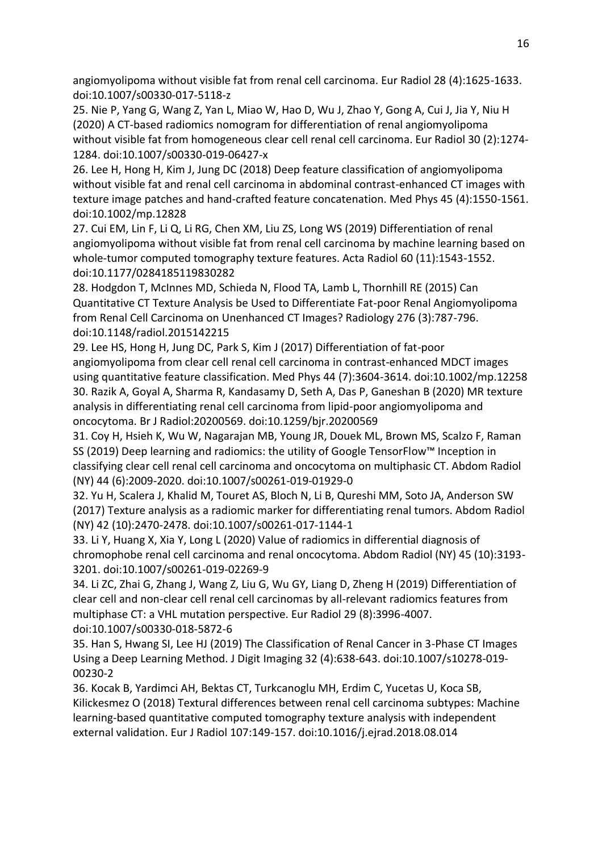angiomyolipoma without visible fat from renal cell carcinoma. Eur Radiol 28 (4):1625-1633. doi:10.1007/s00330-017-5118-z

25. Nie P, Yang G, Wang Z, Yan L, Miao W, Hao D, Wu J, Zhao Y, Gong A, Cui J, Jia Y, Niu H (2020) A CT-based radiomics nomogram for differentiation of renal angiomyolipoma without visible fat from homogeneous clear cell renal cell carcinoma. Eur Radiol 30 (2):1274- 1284. doi:10.1007/s00330-019-06427-x

26. Lee H, Hong H, Kim J, Jung DC (2018) Deep feature classification of angiomyolipoma without visible fat and renal cell carcinoma in abdominal contrast-enhanced CT images with texture image patches and hand-crafted feature concatenation. Med Phys 45 (4):1550-1561. doi:10.1002/mp.12828

27. Cui EM, Lin F, Li Q, Li RG, Chen XM, Liu ZS, Long WS (2019) Differentiation of renal angiomyolipoma without visible fat from renal cell carcinoma by machine learning based on whole-tumor computed tomography texture features. Acta Radiol 60 (11):1543-1552. doi:10.1177/0284185119830282

28. Hodgdon T, McInnes MD, Schieda N, Flood TA, Lamb L, Thornhill RE (2015) Can Quantitative CT Texture Analysis be Used to Differentiate Fat-poor Renal Angiomyolipoma from Renal Cell Carcinoma on Unenhanced CT Images? Radiology 276 (3):787-796. doi:10.1148/radiol.2015142215

29. Lee HS, Hong H, Jung DC, Park S, Kim J (2017) Differentiation of fat-poor angiomyolipoma from clear cell renal cell carcinoma in contrast-enhanced MDCT images using quantitative feature classification. Med Phys 44 (7):3604-3614. doi:10.1002/mp.12258 30. Razik A, Goyal A, Sharma R, Kandasamy D, Seth A, Das P, Ganeshan B (2020) MR texture analysis in differentiating renal cell carcinoma from lipid-poor angiomyolipoma and oncocytoma. Br J Radiol:20200569. doi:10.1259/bjr.20200569

31. Coy H, Hsieh K, Wu W, Nagarajan MB, Young JR, Douek ML, Brown MS, Scalzo F, Raman SS (2019) Deep learning and radiomics: the utility of Google TensorFlow™ Inception in classifying clear cell renal cell carcinoma and oncocytoma on multiphasic CT. Abdom Radiol (NY) 44 (6):2009-2020. doi:10.1007/s00261-019-01929-0

32. Yu H, Scalera J, Khalid M, Touret AS, Bloch N, Li B, Qureshi MM, Soto JA, Anderson SW (2017) Texture analysis as a radiomic marker for differentiating renal tumors. Abdom Radiol (NY) 42 (10):2470-2478. doi:10.1007/s00261-017-1144-1

33. Li Y, Huang X, Xia Y, Long L (2020) Value of radiomics in differential diagnosis of chromophobe renal cell carcinoma and renal oncocytoma. Abdom Radiol (NY) 45 (10):3193- 3201. doi:10.1007/s00261-019-02269-9

34. Li ZC, Zhai G, Zhang J, Wang Z, Liu G, Wu GY, Liang D, Zheng H (2019) Differentiation of clear cell and non-clear cell renal cell carcinomas by all-relevant radiomics features from multiphase CT: a VHL mutation perspective. Eur Radiol 29 (8):3996-4007. doi:10.1007/s00330-018-5872-6

35. Han S, Hwang SI, Lee HJ (2019) The Classification of Renal Cancer in 3-Phase CT Images Using a Deep Learning Method. J Digit Imaging 32 (4):638-643. doi:10.1007/s10278-019- 00230-2

36. Kocak B, Yardimci AH, Bektas CT, Turkcanoglu MH, Erdim C, Yucetas U, Koca SB, Kilickesmez O (2018) Textural differences between renal cell carcinoma subtypes: Machine learning-based quantitative computed tomography texture analysis with independent external validation. Eur J Radiol 107:149-157. doi:10.1016/j.ejrad.2018.08.014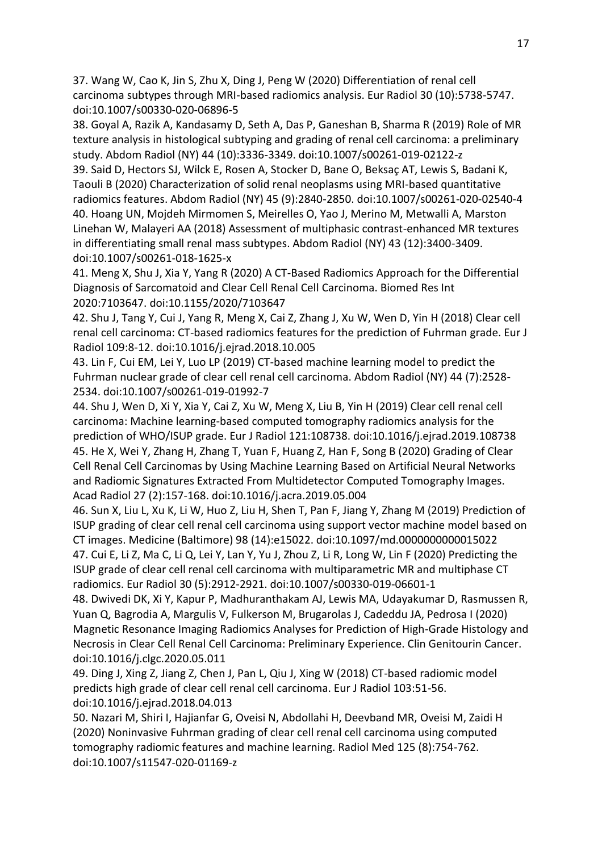37. Wang W, Cao K, Jin S, Zhu X, Ding J, Peng W (2020) Differentiation of renal cell carcinoma subtypes through MRI-based radiomics analysis. Eur Radiol 30 (10):5738-5747. doi:10.1007/s00330-020-06896-5

38. Goyal A, Razik A, Kandasamy D, Seth A, Das P, Ganeshan B, Sharma R (2019) Role of MR texture analysis in histological subtyping and grading of renal cell carcinoma: a preliminary study. Abdom Radiol (NY) 44 (10):3336-3349. doi:10.1007/s00261-019-02122-z

39. Said D, Hectors SJ, Wilck E, Rosen A, Stocker D, Bane O, Beksaç AT, Lewis S, Badani K, Taouli B (2020) Characterization of solid renal neoplasms using MRI-based quantitative radiomics features. Abdom Radiol (NY) 45 (9):2840-2850. doi:10.1007/s00261-020-02540-4 40. Hoang UN, Mojdeh Mirmomen S, Meirelles O, Yao J, Merino M, Metwalli A, Marston Linehan W, Malayeri AA (2018) Assessment of multiphasic contrast-enhanced MR textures in differentiating small renal mass subtypes. Abdom Radiol (NY) 43 (12):3400-3409. doi:10.1007/s00261-018-1625-x

41. Meng X, Shu J, Xia Y, Yang R (2020) A CT-Based Radiomics Approach for the Differential Diagnosis of Sarcomatoid and Clear Cell Renal Cell Carcinoma. Biomed Res Int 2020:7103647. doi:10.1155/2020/7103647

42. Shu J, Tang Y, Cui J, Yang R, Meng X, Cai Z, Zhang J, Xu W, Wen D, Yin H (2018) Clear cell renal cell carcinoma: CT-based radiomics features for the prediction of Fuhrman grade. Eur J Radiol 109:8-12. doi:10.1016/j.ejrad.2018.10.005

43. Lin F, Cui EM, Lei Y, Luo LP (2019) CT-based machine learning model to predict the Fuhrman nuclear grade of clear cell renal cell carcinoma. Abdom Radiol (NY) 44 (7):2528- 2534. doi:10.1007/s00261-019-01992-7

44. Shu J, Wen D, Xi Y, Xia Y, Cai Z, Xu W, Meng X, Liu B, Yin H (2019) Clear cell renal cell carcinoma: Machine learning-based computed tomography radiomics analysis for the prediction of WHO/ISUP grade. Eur J Radiol 121:108738. doi:10.1016/j.ejrad.2019.108738 45. He X, Wei Y, Zhang H, Zhang T, Yuan F, Huang Z, Han F, Song B (2020) Grading of Clear Cell Renal Cell Carcinomas by Using Machine Learning Based on Artificial Neural Networks and Radiomic Signatures Extracted From Multidetector Computed Tomography Images. Acad Radiol 27 (2):157-168. doi:10.1016/j.acra.2019.05.004

46. Sun X, Liu L, Xu K, Li W, Huo Z, Liu H, Shen T, Pan F, Jiang Y, Zhang M (2019) Prediction of ISUP grading of clear cell renal cell carcinoma using support vector machine model based on CT images. Medicine (Baltimore) 98 (14):e15022. doi:10.1097/md.0000000000015022 47. Cui E, Li Z, Ma C, Li Q, Lei Y, Lan Y, Yu J, Zhou Z, Li R, Long W, Lin F (2020) Predicting the ISUP grade of clear cell renal cell carcinoma with multiparametric MR and multiphase CT radiomics. Eur Radiol 30 (5):2912-2921. doi:10.1007/s00330-019-06601-1

48. Dwivedi DK, Xi Y, Kapur P, Madhuranthakam AJ, Lewis MA, Udayakumar D, Rasmussen R, Yuan Q, Bagrodia A, Margulis V, Fulkerson M, Brugarolas J, Cadeddu JA, Pedrosa I (2020) Magnetic Resonance Imaging Radiomics Analyses for Prediction of High-Grade Histology and Necrosis in Clear Cell Renal Cell Carcinoma: Preliminary Experience. Clin Genitourin Cancer. doi:10.1016/j.clgc.2020.05.011

49. Ding J, Xing Z, Jiang Z, Chen J, Pan L, Qiu J, Xing W (2018) CT-based radiomic model predicts high grade of clear cell renal cell carcinoma. Eur J Radiol 103:51-56. doi:10.1016/j.ejrad.2018.04.013

50. Nazari M, Shiri I, Hajianfar G, Oveisi N, Abdollahi H, Deevband MR, Oveisi M, Zaidi H (2020) Noninvasive Fuhrman grading of clear cell renal cell carcinoma using computed tomography radiomic features and machine learning. Radiol Med 125 (8):754-762. doi:10.1007/s11547-020-01169-z